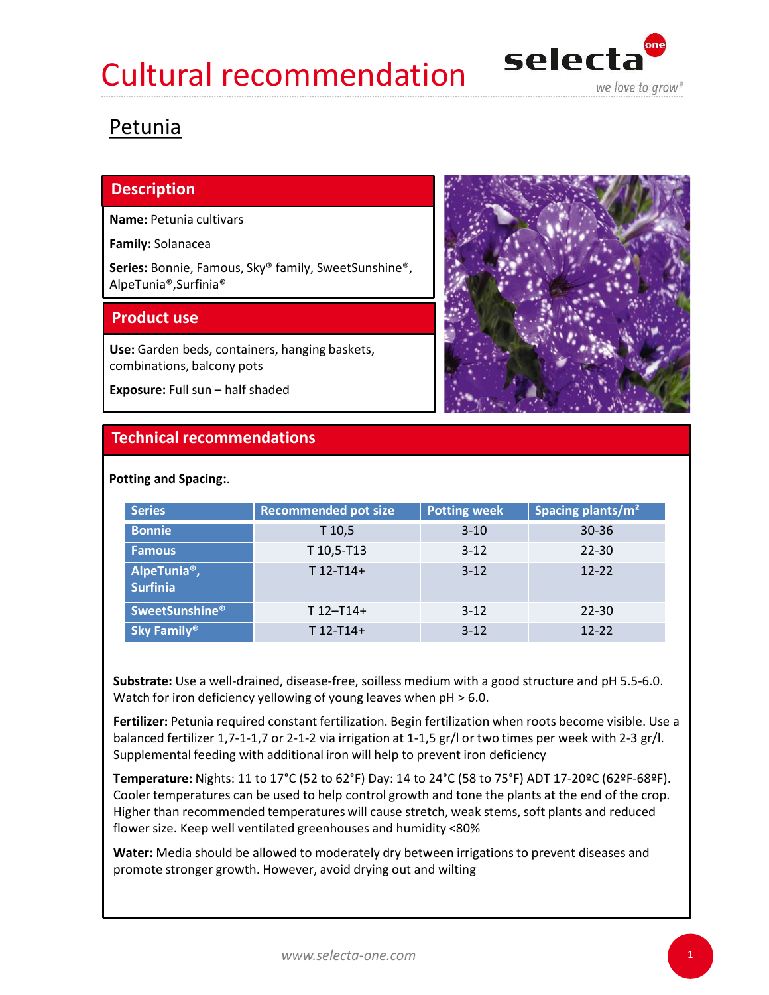## Cultural recommendation selecta



## Petunia

## **Description**

Name: Petunia cultivars

Family: Solanacea

Series: Bonnie, Famous, Sky® family, SweetSunshine®, AlpeTunia®,Surfinia®

Use: Garden beds, containers, hanging baskets, combinations, balcony pots



| Spacing plants/m <sup>2</sup> |
|-------------------------------|
|                               |
|                               |
|                               |
|                               |
|                               |
|                               |

Fertilizer: Petunia required constant fertilization. Begin fertilization when roots become visible. Use a balanced fertilizer 1,7-1-1,7 or 2-1-2 via irrigation at 1-1,5 gr/l or two times per week with 2-3 gr/l. Supplemental feeding with additional iron will help to prevent iron deficiency

**Temperature:** Nights: 11 to 17°C (52 to 62°F) Day: 14 to 24°C (58 to 75°F) ADT 17-20°C (62°F-68°F). Cooler temperatures can be used to help control growth and tone the plants at the end of the crop. Higher than recommended temperatures will cause stretch, weak stems, soft plants and reduced flower size. Keep well ventilated greenhouses and humidity <80%

Water: Media should be allowed to moderately dry between irrigations to prevent diseases and promote stronger growth. However, avoid drying out and wilting

1. September 1988 - 1989 - 1989 - 1989 - 1989 - 1989 - 1989 - 1989 - 1989 - 1989 - 1989 - 1989 - 1989 - 1989 -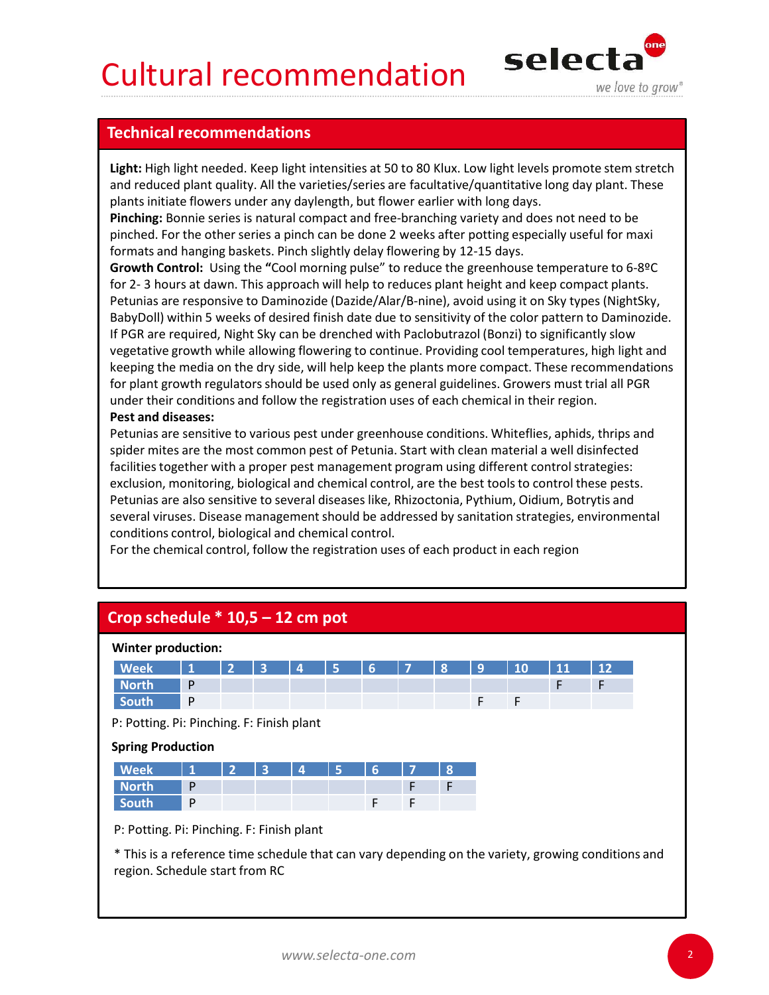## Cultural recommendation selecta



Light: High light needed. Keep light intensities at 50 to 80 Klux. Low light levels promote stem stretch and reduced plant quality. All the varieties/series are facultative/quantitative long day plant. These plants initiate flowers under any daylength, but flower earlier with long days. **Cultural recommendations<br>
Technical recommendations**<br> **Light:** High light needed. Keep light intensities at 50 to 80 Klux. Low light levels promo<br>
and reduced plant quality. All the varieties/series are facultative/quanti

Pinching: Bonnie series is natural compact and free-branching variety and does not need to be pinched. For the other series a pinch can be done 2 weeks after potting especially useful for maxi formats and hanging baskets. Pinch slightly delay flowering by 12-15 days.

Growth Control: Using the "Cool morning pulse" to reduce the greenhouse temperature to 6-8ºC **Cultural recommendations**<br> **Selections at the COMMENT COMMENT CONSECT WE CONSECT WE ARRELUSE SUGNATION CONSECT WE ARRELUSE SUGNATION CONSECT AND A CONSECT AND A CONSECT AND A CONSECT AND A CONSECT AND A CONSECT AND A CONS** Petunias are responsive to Daminozide (Dazide/Alar/B-nine), avoid using it on Sky types (NightSky, BabyDoll) within 5 weeks of desired finish date due to sensitivity of the color pattern to Daminozide. If PGR are required, Night Sky can be drenched with Paclobutrazol (Bonzi) to significantly slow vegetative growth while allowing flowering to continue. Providing cool temperatures, high light and keeping the media on the dry side, will help keep the plants more compact. These recommendations for plant growth regulators should be used only as general guidelines. Growers must trial all PGR under their conditions and follow the registration uses of each chemical in their region. **Irechnical recommendations**<br> **Light:** High light needed. Keep light intensities at 50 to 80 Klux. Low light levels promote stem stretch<br>and reduced plant quality. All the varieties/series are facultative/quantitative long From the same response to continuous electation space (painter) and a properties are required, Night Sky can be drenched with Paclobutrazol (Bonzi) to significantly slow<br>BabyDoll) within 5 weeks of desired finish date due

## Pest and diseases:

| Crop schedule $*$ 10,5 – 12 cm pot<br><b>Winter production:</b><br><b>Week</b><br>12<br>P<br><b>North</b><br>F<br>P<br>F<br>F<br>South<br>P: Potting. Pi: Pinching. F: Finish plant<br><b>Spring Production</b><br><b>Week</b><br>$\mathbf{R}$<br><b>North</b><br>P<br>F<br>$\mathsf{P}$<br>F<br>F<br>South<br>P: Potting. Pi: Pinching. F: Finish plant | * This is a reference time schedule that can vary depending on the variety, growing conditions and<br>region. Schedule start from RC | vegetative growth while allowing howering to continue. Froviung cool temperatures, nigh light and<br>keeping the media on the dry side, will help keep the plants more compact. These recommendations<br>for plant growth regulators should be used only as general guidelines. Growers must trial all PGR<br>under their conditions and follow the registration uses of each chemical in their region.<br><b>Pest and diseases:</b><br>Petunias are sensitive to various pest under greenhouse conditions. Whiteflies, aphids, thrips and<br>spider mites are the most common pest of Petunia. Start with clean material a well disinfected<br>facilities together with a proper pest management program using different control strategies:<br>exclusion, monitoring, biological and chemical control, are the best tools to control these pests.<br>Petunias are also sensitive to several diseases like, Rhizoctonia, Pythium, Oidium, Botrytis and<br>several viruses. Disease management should be addressed by sanitation strategies, environmental<br>conditions control, biological and chemical control.<br>For the chemical control, follow the registration uses of each product in each region |  |  |  |  |  |  |
|----------------------------------------------------------------------------------------------------------------------------------------------------------------------------------------------------------------------------------------------------------------------------------------------------------------------------------------------------------|--------------------------------------------------------------------------------------------------------------------------------------|-------------------------------------------------------------------------------------------------------------------------------------------------------------------------------------------------------------------------------------------------------------------------------------------------------------------------------------------------------------------------------------------------------------------------------------------------------------------------------------------------------------------------------------------------------------------------------------------------------------------------------------------------------------------------------------------------------------------------------------------------------------------------------------------------------------------------------------------------------------------------------------------------------------------------------------------------------------------------------------------------------------------------------------------------------------------------------------------------------------------------------------------------------------------------------------------------------------|--|--|--|--|--|--|
|                                                                                                                                                                                                                                                                                                                                                          |                                                                                                                                      |                                                                                                                                                                                                                                                                                                                                                                                                                                                                                                                                                                                                                                                                                                                                                                                                                                                                                                                                                                                                                                                                                                                                                                                                             |  |  |  |  |  |  |
|                                                                                                                                                                                                                                                                                                                                                          |                                                                                                                                      |                                                                                                                                                                                                                                                                                                                                                                                                                                                                                                                                                                                                                                                                                                                                                                                                                                                                                                                                                                                                                                                                                                                                                                                                             |  |  |  |  |  |  |
|                                                                                                                                                                                                                                                                                                                                                          |                                                                                                                                      |                                                                                                                                                                                                                                                                                                                                                                                                                                                                                                                                                                                                                                                                                                                                                                                                                                                                                                                                                                                                                                                                                                                                                                                                             |  |  |  |  |  |  |
|                                                                                                                                                                                                                                                                                                                                                          |                                                                                                                                      |                                                                                                                                                                                                                                                                                                                                                                                                                                                                                                                                                                                                                                                                                                                                                                                                                                                                                                                                                                                                                                                                                                                                                                                                             |  |  |  |  |  |  |
|                                                                                                                                                                                                                                                                                                                                                          |                                                                                                                                      |                                                                                                                                                                                                                                                                                                                                                                                                                                                                                                                                                                                                                                                                                                                                                                                                                                                                                                                                                                                                                                                                                                                                                                                                             |  |  |  |  |  |  |
|                                                                                                                                                                                                                                                                                                                                                          |                                                                                                                                      |                                                                                                                                                                                                                                                                                                                                                                                                                                                                                                                                                                                                                                                                                                                                                                                                                                                                                                                                                                                                                                                                                                                                                                                                             |  |  |  |  |  |  |
|                                                                                                                                                                                                                                                                                                                                                          |                                                                                                                                      |                                                                                                                                                                                                                                                                                                                                                                                                                                                                                                                                                                                                                                                                                                                                                                                                                                                                                                                                                                                                                                                                                                                                                                                                             |  |  |  |  |  |  |
|                                                                                                                                                                                                                                                                                                                                                          |                                                                                                                                      |                                                                                                                                                                                                                                                                                                                                                                                                                                                                                                                                                                                                                                                                                                                                                                                                                                                                                                                                                                                                                                                                                                                                                                                                             |  |  |  |  |  |  |
|                                                                                                                                                                                                                                                                                                                                                          |                                                                                                                                      |                                                                                                                                                                                                                                                                                                                                                                                                                                                                                                                                                                                                                                                                                                                                                                                                                                                                                                                                                                                                                                                                                                                                                                                                             |  |  |  |  |  |  |
|                                                                                                                                                                                                                                                                                                                                                          |                                                                                                                                      |                                                                                                                                                                                                                                                                                                                                                                                                                                                                                                                                                                                                                                                                                                                                                                                                                                                                                                                                                                                                                                                                                                                                                                                                             |  |  |  |  |  |  |
|                                                                                                                                                                                                                                                                                                                                                          |                                                                                                                                      |                                                                                                                                                                                                                                                                                                                                                                                                                                                                                                                                                                                                                                                                                                                                                                                                                                                                                                                                                                                                                                                                                                                                                                                                             |  |  |  |  |  |  |